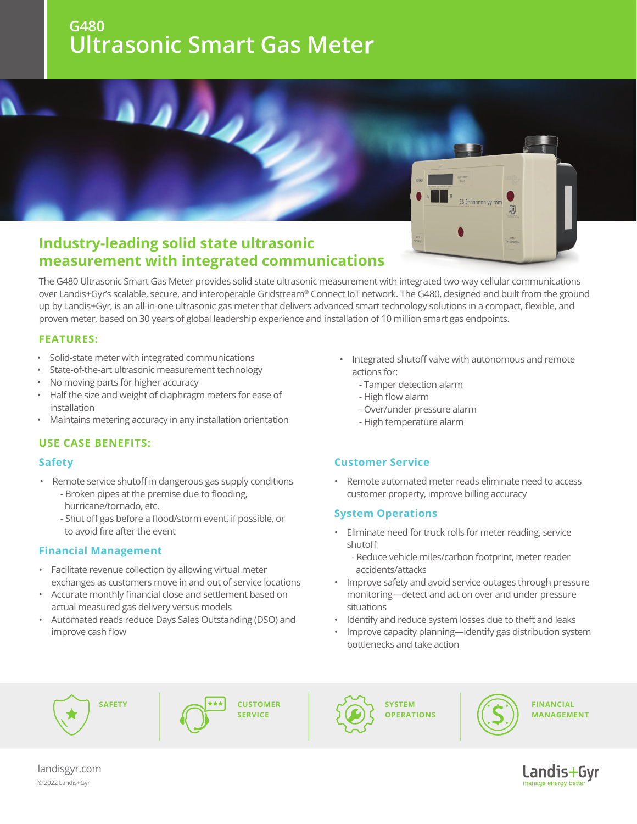### **G480 Ultrasonic Smart Gas Meter**



# **measurement with integrated communications**

The G480 Ultrasonic Smart Gas Meter provides solid state ultrasonic measurement with integrated two-way cellular communications over Landis+Gyr's scalable, secure, and interoperable Gridstream® Connect IoT network. The G480, designed and built from the ground up by Landis+Gyr, is an all-in-one ultrasonic gas meter that delivers advanced smart technology solutions in a compact, flexible, and proven meter, based on 30 years of global leadership experience and installation of 10 million smart gas endpoints.

#### **FEATURES:**

- Solid-state meter with integrated communications
- State-of-the-art ultrasonic measurement technology
- No moving parts for higher accuracy
- Half the size and weight of diaphragm meters for ease of installation
- Maintains metering accuracy in any installation orientation

#### **USE CASE BENEFITS:**

#### **Safety**

- Remote service shutoff in dangerous gas supply conditions - Broken pipes at the premise due to flooding, hurricane/tornado, etc.
	- Shut off gas before a flood/storm event, if possible, or to avoid fire after the event

#### **Financial Management**

- Facilitate revenue collection by allowing virtual meter exchanges as customers move in and out of service locations
- Accurate monthly financial close and settlement based on actual measured gas delivery versus models
- Automated reads reduce Days Sales Outstanding (DSO) and improve cash flow
- Integrated shutoff valve with autonomous and remote actions for:
	- Tamper detection alarm
	- High flow alarm
	- Over/under pressure alarm
	- High temperature alarm

### **Customer Service**

• Remote automated meter reads eliminate need to access customer property, improve billing accuracy

#### **System Operations**

- Eliminate need for truck rolls for meter reading, service shutoff
	- Reduce vehicle miles/carbon footprint, meter reader accidents/attacks
- Improve safety and avoid service outages through pressure monitoring—detect and act on over and under pressure situations
- Identify and reduce system losses due to theft and leaks
- Improve capacity planning—identify gas distribution system bottlenecks and take action







**SYSTEM OPERATIONS** 



**FINANCIAL MANAGEMENT** 



landisgyr.com © 202